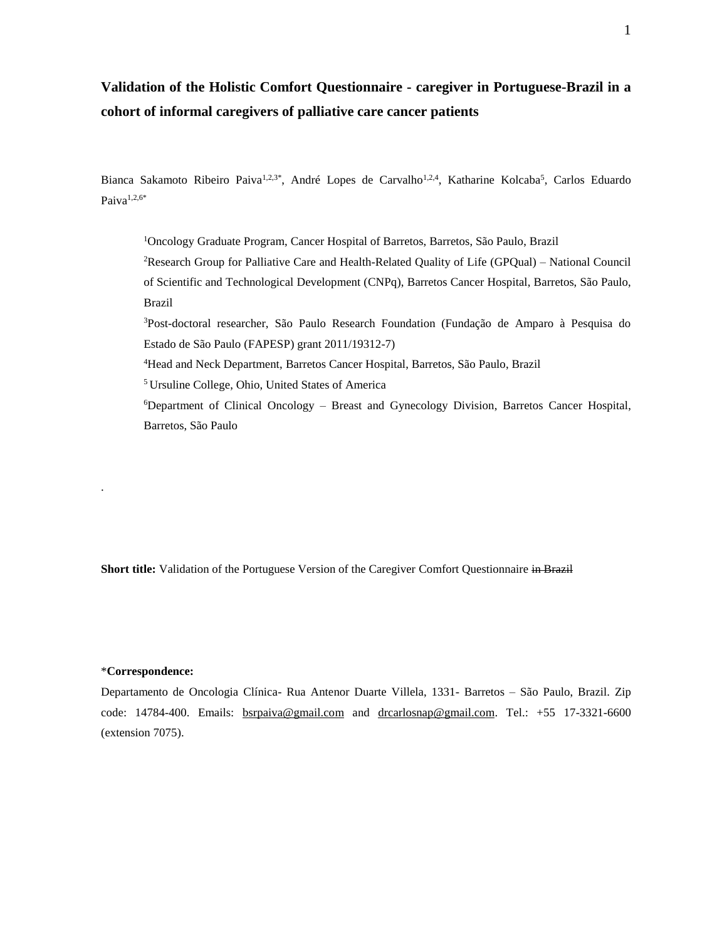# **Validation of the Holistic Comfort Questionnaire - caregiver in Portuguese-Brazil in a cohort of informal caregivers of palliative care cancer patients**

Bianca Sakamoto Ribeiro Paiva<sup>1,2,3\*</sup>, André Lopes de Carvalho<sup>1,2,4</sup>, Katharine Kolcaba<sup>5</sup>, Carlos Eduardo Paiva<sup>1,2,6\*</sup>

<sup>1</sup>Oncology Graduate Program, Cancer Hospital of Barretos, Barretos, São Paulo, Brazil <sup>2</sup>Research Group for Palliative Care and Health-Related Quality of Life (GPQual) – National Council of Scientific and Technological Development (CNPq), Barretos Cancer Hospital, Barretos, São Paulo,

Brazil

<sup>3</sup>Post-doctoral researcher, São Paulo Research Foundation (Fundação de Amparo à Pesquisa do Estado de São Paulo (FAPESP) grant 2011/19312-7)

<sup>4</sup>Head and Neck Department, Barretos Cancer Hospital, Barretos, São Paulo, Brazil

<sup>5</sup>Ursuline College, Ohio, United States of America

<sup>6</sup>Department of Clinical Oncology – Breast and Gynecology Division, Barretos Cancer Hospital, Barretos, São Paulo

**Short title:** Validation of the Portuguese Version of the Caregiver Comfort Questionnaire in Brazil

# \***Correspondence:**

.

Departamento de Oncologia Clínica- Rua Antenor Duarte Villela, 1331- Barretos – São Paulo, Brazil. Zip code: 14784-400. Emails: **[bsrpaiva@gmail.com](mailto:bsrpaiva@gmail.com)** and **drcarlosnap@gmail.com**. Tel.: +55 17-3321-6600 (extension 7075).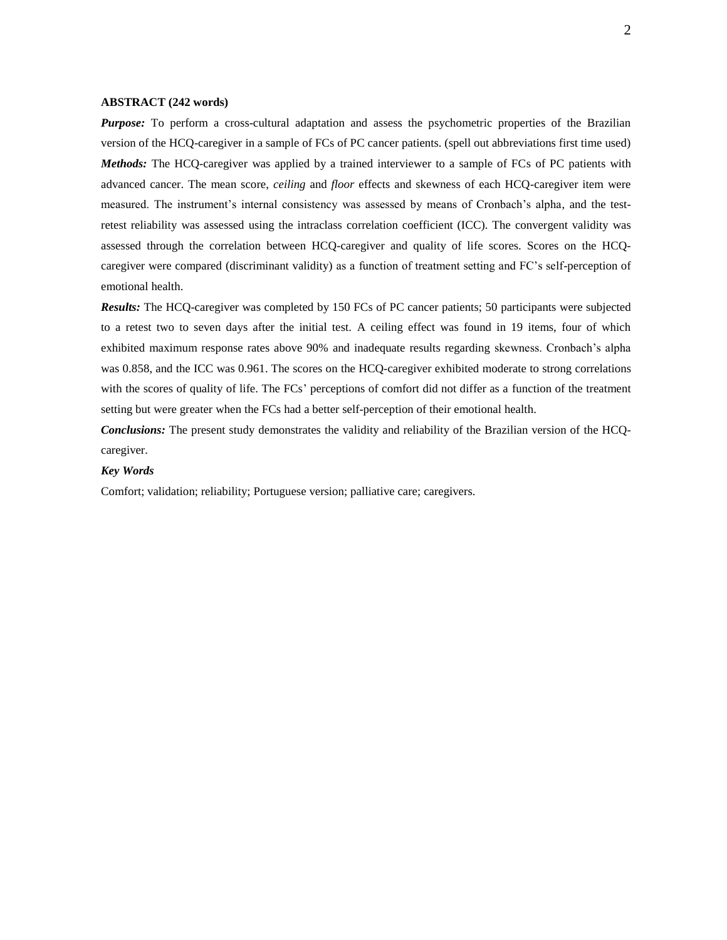#### **ABSTRACT (242 words)**

*Purpose:* To perform a cross-cultural adaptation and assess the psychometric properties of the Brazilian version of the HCQ-caregiver in a sample of FCs of PC cancer patients. (spell out abbreviations first time used) *Methods:* The HCQ-caregiver was applied by a trained interviewer to a sample of FCs of PC patients with advanced cancer. The mean score, *ceiling* and *floor* effects and skewness of each HCQ-caregiver item were measured. The instrument's internal consistency was assessed by means of Cronbach's alpha, and the testretest reliability was assessed using the intraclass correlation coefficient (ICC). The convergent validity was assessed through the correlation between HCQ-caregiver and quality of life scores. Scores on the HCQcaregiver were compared (discriminant validity) as a function of treatment setting and FC's self-perception of emotional health.

*Results:* The HCQ-caregiver was completed by 150 FCs of PC cancer patients; 50 participants were subjected to a retest two to seven days after the initial test. A ceiling effect was found in 19 items, four of which exhibited maximum response rates above 90% and inadequate results regarding skewness. Cronbach's alpha was 0.858, and the ICC was 0.961. The scores on the HCQ-caregiver exhibited moderate to strong correlations with the scores of quality of life. The FCs' perceptions of comfort did not differ as a function of the treatment setting but were greater when the FCs had a better self-perception of their emotional health.

*Conclusions:* The present study demonstrates the validity and reliability of the Brazilian version of the HCQcaregiver.

# *Key Words*

Comfort; validation; reliability; Portuguese version; palliative care; caregivers.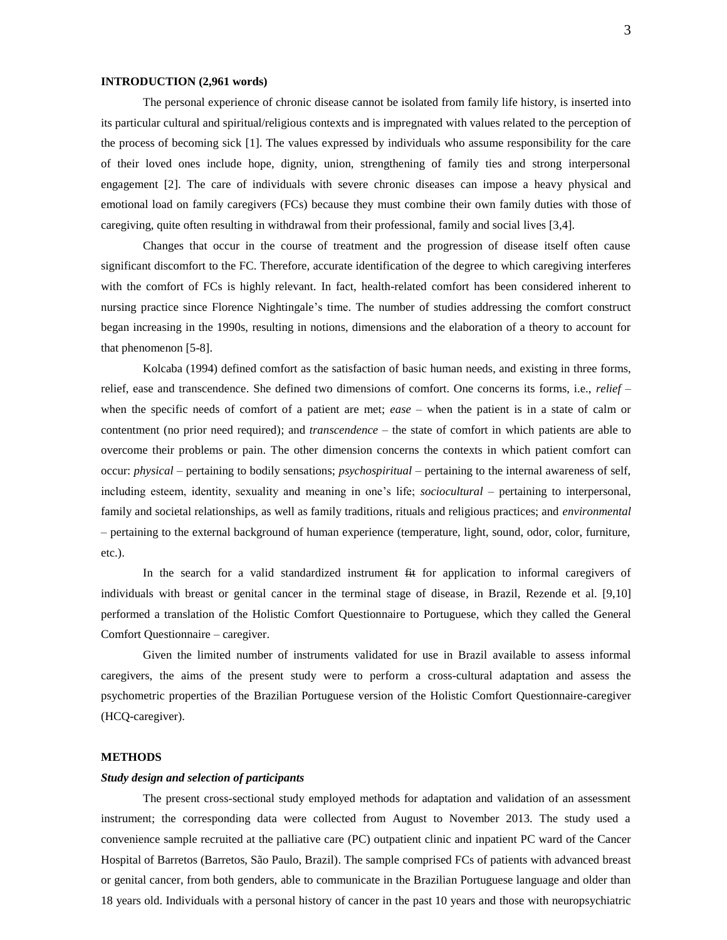#### **INTRODUCTION (2,961 words)**

The personal experience of chronic disease cannot be isolated from family life history, is inserted into its particular cultural and spiritual/religious contexts and is impregnated with values related to the perception of the process of becoming sick [\[1\]](#page-8-0). The values expressed by individuals who assume responsibility for the care of their loved ones include hope, dignity, union, strengthening of family ties and strong interpersonal engagement [\[2\]](#page-8-1). The care of individuals with severe chronic diseases can impose a heavy physical and emotional load on family caregivers (FCs) because they must combine their own family duties with those of caregiving, quite often resulting in withdrawal from their professional, family and social lives [\[3](#page-8-2)[,4\]](#page-8-3).

Changes that occur in the course of treatment and the progression of disease itself often cause significant discomfort to the FC. Therefore, accurate identification of the degree to which caregiving interferes with the comfort of FCs is highly relevant. In fact, health-related comfort has been considered inherent to nursing practice since Florence Nightingale's time. The number of studies addressing the comfort construct began increasing in the 1990s, resulting in notions, dimensions and the elaboration of a theory to account for that phenomenon [\[5-8\]](#page-8-4).

Kolcaba (1994) defined comfort as the satisfaction of basic human needs, and existing in three forms, relief, ease and transcendence. She defined two dimensions of comfort. One concerns its forms, i.e., *relief* – when the specific needs of comfort of a patient are met; *ease* – when the patient is in a state of calm or contentment (no prior need required); and *transcendence* – the state of comfort in which patients are able to overcome their problems or pain. The other dimension concerns the contexts in which patient comfort can occur: *physical* – pertaining to bodily sensations; *psychospiritual* – pertaining to the internal awareness of self, including esteem, identity, sexuality and meaning in one's life; *sociocultural* – pertaining to interpersonal, family and societal relationships, as well as family traditions, rituals and religious practices; and *environmental* – pertaining to the external background of human experience (temperature, light, sound, odor, color, furniture, etc.).

In the search for a valid standardized instrument  $\frac{f}{f}$  for application to informal caregivers of individuals with breast or genital cancer in the terminal stage of disease, in Brazil, Rezende et al. [\[9](#page-8-5)[,10\]](#page-8-6) performed a translation of the Holistic Comfort Questionnaire to Portuguese, which they called the General Comfort Questionnaire – caregiver.

Given the limited number of instruments validated for use in Brazil available to assess informal caregivers, the aims of the present study were to perform a cross-cultural adaptation and assess the psychometric properties of the Brazilian Portuguese version of the Holistic Comfort Questionnaire-caregiver (HCQ-caregiver).

# **METHODS**

# *Study design and selection of participants*

The present cross-sectional study employed methods for adaptation and validation of an assessment instrument; the corresponding data were collected from August to November 2013. The study used a convenience sample recruited at the palliative care (PC) outpatient clinic and inpatient PC ward of the Cancer Hospital of Barretos (Barretos, São Paulo, Brazil). The sample comprised FCs of patients with advanced breast or genital cancer, from both genders, able to communicate in the Brazilian Portuguese language and older than 18 years old. Individuals with a personal history of cancer in the past 10 years and those with neuropsychiatric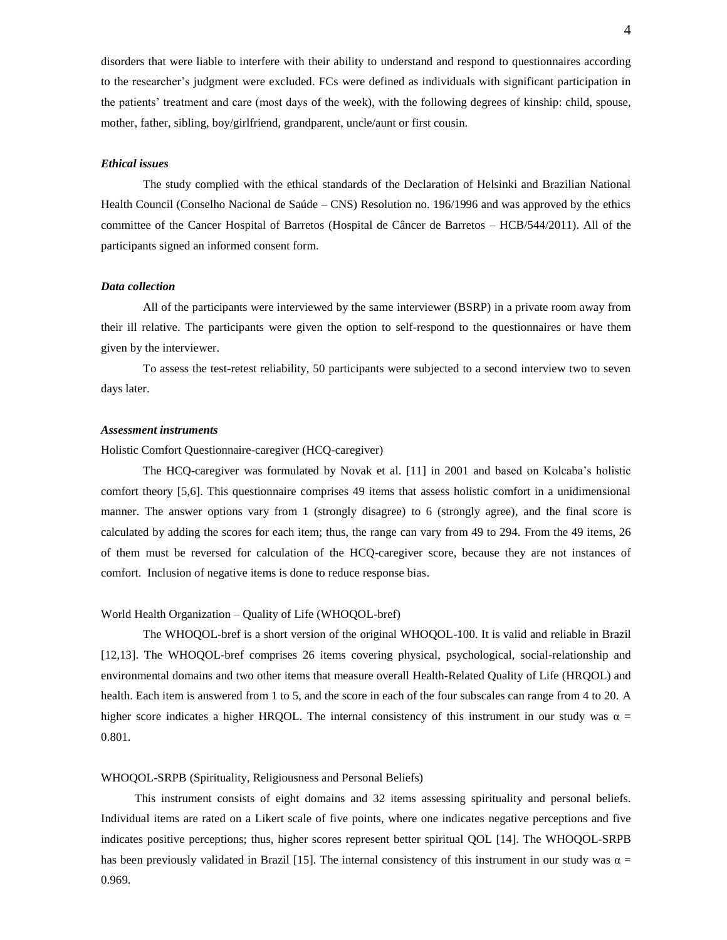disorders that were liable to interfere with their ability to understand and respond to questionnaires according to the researcher's judgment were excluded. FCs were defined as individuals with significant participation in the patients' treatment and care (most days of the week), with the following degrees of kinship: child, spouse, mother, father, sibling, boy/girlfriend, grandparent, uncle/aunt or first cousin.

# *Ethical issues*

The study complied with the ethical standards of the Declaration of Helsinki and Brazilian National Health Council (Conselho Nacional de Saúde – CNS) Resolution no. 196/1996 and was approved by the ethics committee of the Cancer Hospital of Barretos (Hospital de Câncer de Barretos – HCB/544/2011). All of the participants signed an informed consent form.

# *Data collection*

All of the participants were interviewed by the same interviewer (BSRP) in a private room away from their ill relative. The participants were given the option to self-respond to the questionnaires or have them given by the interviewer.

To assess the test-retest reliability, 50 participants were subjected to a second interview two to seven days later.

# *Assessment instruments*

Holistic Comfort Questionnaire-caregiver (HCQ-caregiver)

The HCQ-caregiver was formulated by Novak et al. [\[11\]](#page-8-7) in 2001 and based on Kolcaba's holistic comfort theory [\[5,](#page-8-4)[6\]](#page-8-8). This questionnaire comprises 49 items that assess holistic comfort in a unidimensional manner. The answer options vary from 1 (strongly disagree) to 6 (strongly agree), and the final score is calculated by adding the scores for each item; thus, the range can vary from 49 to 294. From the 49 items, 26 of them must be reversed for calculation of the HCQ-caregiver score, because they are not instances of comfort. Inclusion of negative items is done to reduce response bias.

#### World Health Organization – Quality of Life (WHOQOL-bref)

The WHOQOL-bref is a short version of the original WHOQOL-100. It is valid and reliable in Brazil [\[12,](#page-8-9)[13\]](#page-8-10). The WHOQOL-bref comprises 26 items covering physical, psychological, social-relationship and environmental domains and two other items that measure overall Health-Related Quality of Life (HRQOL) and health. Each item is answered from 1 to 5, and the score in each of the four subscales can range from 4 to 20. A higher score indicates a higher HRQOL. The internal consistency of this instrument in our study was  $\alpha$  = 0.801.

#### WHOQOL-SRPB (Spirituality, Religiousness and Personal Beliefs)

This instrument consists of eight domains and 32 items assessing spirituality and personal beliefs. Individual items are rated on a Likert scale of five points, where one indicates negative perceptions and five indicates positive perceptions; thus, higher scores represent better spiritual QOL [\[14\]](#page-8-11). The WHOQOL-SRPB has been previously validated in Brazil [\[15\]](#page-8-12). The internal consistency of this instrument in our study was  $\alpha =$ 0.969.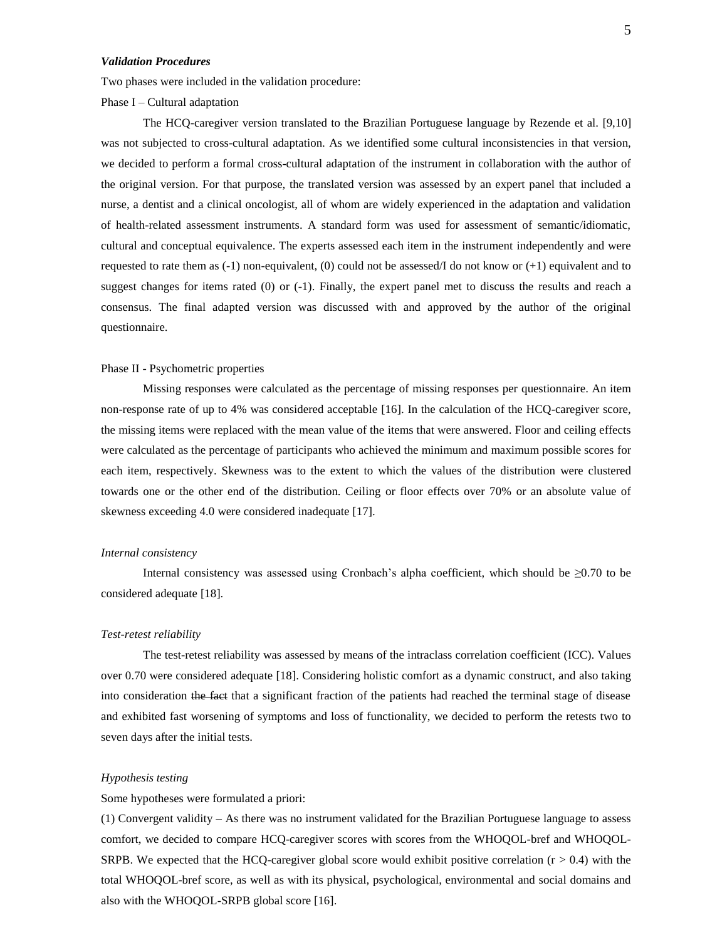#### *Validation Procedures*

Two phases were included in the validation procedure:

Phase I – Cultural adaptation

The HCQ-caregiver version translated to the Brazilian Portuguese language by Rezende et al. [\[9](#page-8-5)[,10\]](#page-8-6) was not subjected to cross-cultural adaptation. As we identified some cultural inconsistencies in that version, we decided to perform a formal cross-cultural adaptation of the instrument in collaboration with the author of the original version. For that purpose, the translated version was assessed by an expert panel that included a nurse, a dentist and a clinical oncologist, all of whom are widely experienced in the adaptation and validation of health-related assessment instruments. A standard form was used for assessment of semantic/idiomatic, cultural and conceptual equivalence. The experts assessed each item in the instrument independently and were requested to rate them as  $(-1)$  non-equivalent,  $(0)$  could not be assessed/I do not know or  $(+1)$  equivalent and to suggest changes for items rated (0) or (-1). Finally, the expert panel met to discuss the results and reach a consensus. The final adapted version was discussed with and approved by the author of the original questionnaire.

#### Phase II - Psychometric properties

Missing responses were calculated as the percentage of missing responses per questionnaire. An item non-response rate of up to 4% was considered acceptable [\[16\]](#page-8-13). In the calculation of the HCQ-caregiver score, the missing items were replaced with the mean value of the items that were answered. Floor and ceiling effects were calculated as the percentage of participants who achieved the minimum and maximum possible scores for each item, respectively. Skewness was to the extent to which the values of the distribution were clustered towards one or the other end of the distribution. Ceiling or floor effects over 70% or an absolute value of skewness exceeding 4.0 were considered inadequate [\[17\]](#page-8-14).

#### *Internal consistency*

Internal consistency was assessed using Cronbach's alpha coefficient, which should be  $\geq 0.70$  to be considered adequate [\[18\]](#page-8-15).

#### *Test-retest reliability*

The test-retest reliability was assessed by means of the intraclass correlation coefficient (ICC). Values over 0.70 were considered adequate [\[18\]](#page-8-15). Considering holistic comfort as a dynamic construct, and also taking into consideration the fact that a significant fraction of the patients had reached the terminal stage of disease and exhibited fast worsening of symptoms and loss of functionality, we decided to perform the retests two to seven days after the initial tests.

#### *Hypothesis testing*

Some hypotheses were formulated a priori:

(1) Convergent validity – As there was no instrument validated for the Brazilian Portuguese language to assess comfort, we decided to compare HCQ-caregiver scores with scores from the WHOQOL-bref and WHOQOL-SRPB. We expected that the HCQ-caregiver global score would exhibit positive correlation  $(r > 0.4)$  with the total WHOQOL-bref score, as well as with its physical, psychological, environmental and social domains and also with the WHOQOL-SRPB global score [\[16\]](#page-8-13).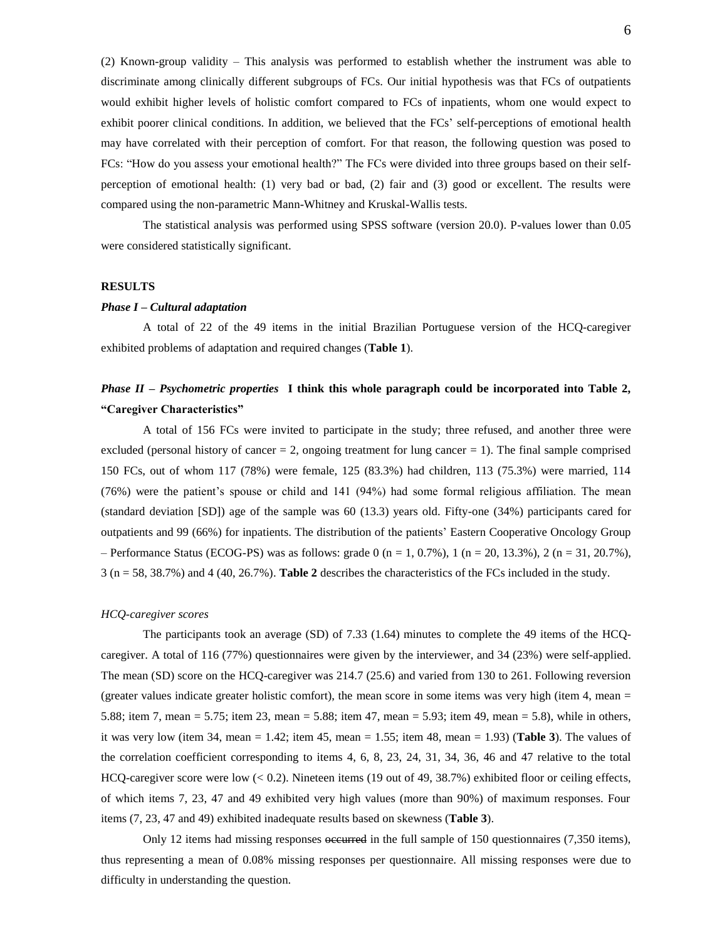(2) Known-group validity – This analysis was performed to establish whether the instrument was able to discriminate among clinically different subgroups of FCs. Our initial hypothesis was that FCs of outpatients would exhibit higher levels of holistic comfort compared to FCs of inpatients, whom one would expect to exhibit poorer clinical conditions. In addition, we believed that the FCs' self-perceptions of emotional health may have correlated with their perception of comfort. For that reason, the following question was posed to FCs: "How do you assess your emotional health?" The FCs were divided into three groups based on their selfperception of emotional health: (1) very bad or bad, (2) fair and (3) good or excellent. The results were compared using the non-parametric Mann-Whitney and Kruskal-Wallis tests.

The statistical analysis was performed using SPSS software (version 20.0). P-values lower than 0.05 were considered statistically significant.

# **RESULTS**

#### *Phase I – Cultural adaptation*

A total of 22 of the 49 items in the initial Brazilian Portuguese version of the HCQ-caregiver exhibited problems of adaptation and required changes (**Table 1**).

# *Phase II – Psychometric properties* **I think this whole paragraph could be incorporated into Table 2, "Caregiver Characteristics"**

A total of 156 FCs were invited to participate in the study; three refused, and another three were excluded (personal history of cancer  $= 2$ , ongoing treatment for lung cancer  $= 1$ ). The final sample comprised 150 FCs, out of whom 117 (78%) were female, 125 (83.3%) had children, 113 (75.3%) were married, 114 (76%) were the patient's spouse or child and 141 (94%) had some formal religious affiliation. The mean (standard deviation [SD]) age of the sample was 60 (13.3) years old. Fifty-one (34%) participants cared for outpatients and 99 (66%) for inpatients. The distribution of the patients' Eastern Cooperative Oncology Group – Performance Status (ECOG-PS) was as follows: grade 0 (n = 1, 0.7%), 1 (n = 20, 13.3%), 2 (n = 31, 20.7%), 3 (n = 58, 38.7%) and 4 (40, 26.7%). **Table 2** describes the characteristics of the FCs included in the study.

#### *HCQ-caregiver scores*

The participants took an average (SD) of 7.33 (1.64) minutes to complete the 49 items of the HCQcaregiver. A total of 116 (77%) questionnaires were given by the interviewer, and 34 (23%) were self-applied. The mean (SD) score on the HCQ-caregiver was 214.7 (25.6) and varied from 130 to 261. Following reversion (greater values indicate greater holistic comfort), the mean score in some items was very high (item 4, mean = 5.88; item 7, mean = 5.75; item 23, mean = 5.88; item 47, mean = 5.93; item 49, mean = 5.8), while in others, it was very low (item 34, mean = 1.42; item 45, mean = 1.55; item 48, mean = 1.93) (**Table 3**). The values of the correlation coefficient corresponding to items 4, 6, 8, 23, 24, 31, 34, 36, 46 and 47 relative to the total HCQ-caregiver score were low  $(< 0.2$ ). Nineteen items (19 out of 49, 38.7%) exhibited floor or ceiling effects, of which items 7, 23, 47 and 49 exhibited very high values (more than 90%) of maximum responses. Four items (7, 23, 47 and 49) exhibited inadequate results based on skewness (**Table 3**).

Only 12 items had missing responses <del>occurred</del> in the full sample of 150 questionnaires (7,350 items), thus representing a mean of 0.08% missing responses per questionnaire. All missing responses were due to difficulty in understanding the question.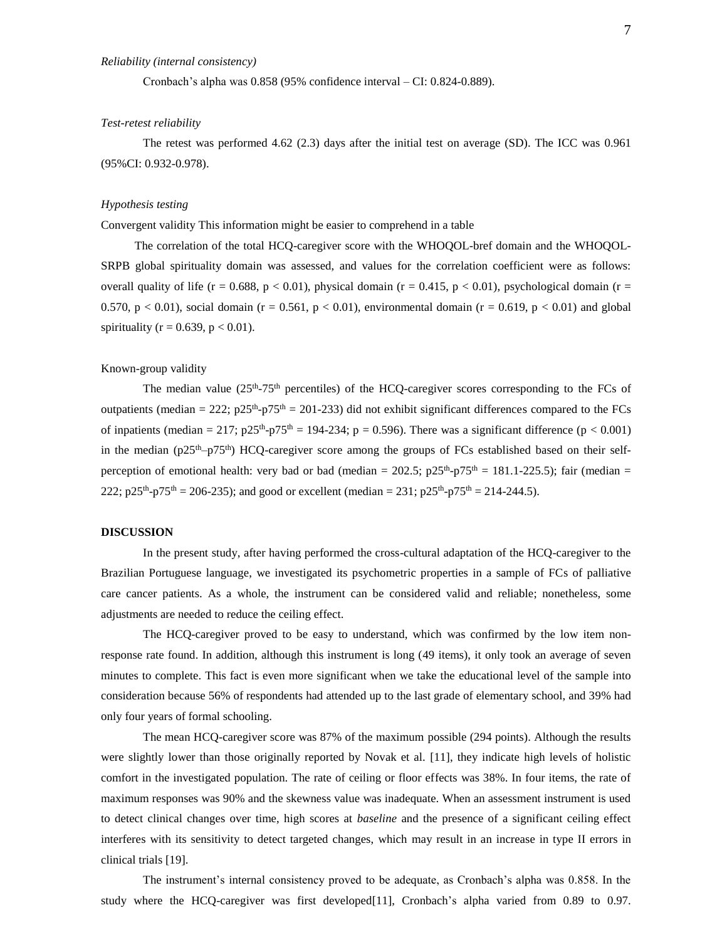# *Reliability (internal consistency)*

Cronbach's alpha was 0.858 (95% confidence interval – CI: 0.824-0.889).

# *Test-retest reliability*

The retest was performed 4.62 (2.3) days after the initial test on average (SD). The ICC was 0.961 (95%CI: 0.932-0.978).

### *Hypothesis testing*

Convergent validity This information might be easier to comprehend in a table

The correlation of the total HCQ-caregiver score with the WHOQOL-bref domain and the WHOQOL-SRPB global spirituality domain was assessed, and values for the correlation coefficient were as follows: overall quality of life (r = 0.688, p < 0.01), physical domain (r = 0.415, p < 0.01), psychological domain (r = 0.570,  $p < 0.01$ ), social domain (r = 0.561, p < 0.01), environmental domain (r = 0.619, p < 0.01) and global spirituality ( $r = 0.639$ ,  $p < 0.01$ ).

#### Known-group validity

The median value  $(25<sup>th</sup>-75<sup>th</sup>$  percentiles) of the HCQ-caregiver scores corresponding to the FCs of outpatients (median = 222;  $p25<sup>th</sup>-p75<sup>th</sup> = 201-233$ ) did not exhibit significant differences compared to the FCs of inpatients (median = 217;  $p25<sup>th</sup> - p75<sup>th</sup> = 194-234$ ;  $p = 0.596$ ). There was a significant difference ( $p < 0.001$ ) in the median ( $p25<sup>th</sup>-p75<sup>th</sup>$ ) HCQ-caregiver score among the groups of FCs established based on their selfperception of emotional health: very bad or bad (median =  $202.5$ ;  $p25<sup>th</sup>$ - $p75<sup>th</sup>$  = 181.1-225.5); fair (median = 222;  $p25^{th} - p75^{th} = 206 - 235$ ); and good or excellent (median = 231;  $p25^{th} - p75^{th} = 214 - 244.5$ ).

#### **DISCUSSION**

In the present study, after having performed the cross-cultural adaptation of the HCQ-caregiver to the Brazilian Portuguese language, we investigated its psychometric properties in a sample of FCs of palliative care cancer patients. As a whole, the instrument can be considered valid and reliable; nonetheless, some adjustments are needed to reduce the ceiling effect.

The HCQ-caregiver proved to be easy to understand, which was confirmed by the low item nonresponse rate found. In addition, although this instrument is long (49 items), it only took an average of seven minutes to complete. This fact is even more significant when we take the educational level of the sample into consideration because 56% of respondents had attended up to the last grade of elementary school, and 39% had only four years of formal schooling.

The mean HCQ-caregiver score was 87% of the maximum possible (294 points). Although the results were slightly lower than those originally reported by Novak et al. [\[11\]](#page-8-7), they indicate high levels of holistic comfort in the investigated population. The rate of ceiling or floor effects was 38%. In four items, the rate of maximum responses was 90% and the skewness value was inadequate. When an assessment instrument is used to detect clinical changes over time, high scores at *baseline* and the presence of a significant ceiling effect interferes with its sensitivity to detect targeted changes, which may result in an increase in type II errors in clinical trials [\[19\]](#page-8-16).

The instrument's internal consistency proved to be adequate, as Cronbach's alpha was 0.858. In the study where the HCQ-caregiver was first developed[\[11\]](#page-8-7), Cronbach's alpha varied from 0.89 to 0.97.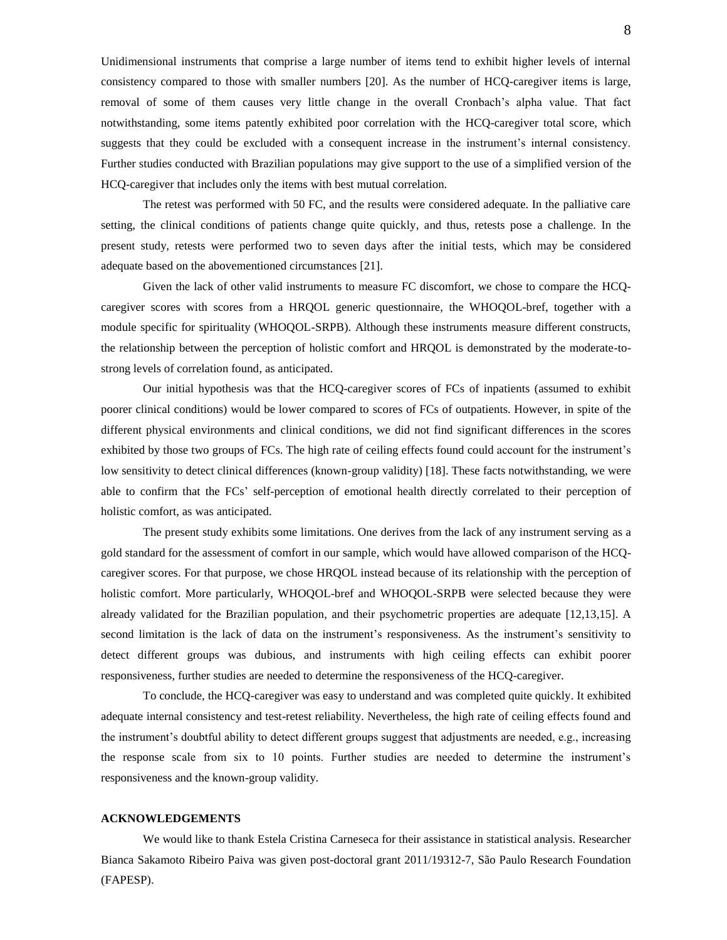Unidimensional instruments that comprise a large number of items tend to exhibit higher levels of internal consistency compared to those with smaller numbers [\[20\]](#page-8-17). As the number of HCQ-caregiver items is large, removal of some of them causes very little change in the overall Cronbach's alpha value. That fact notwithstanding, some items patently exhibited poor correlation with the HCQ-caregiver total score, which suggests that they could be excluded with a consequent increase in the instrument's internal consistency. Further studies conducted with Brazilian populations may give support to the use of a simplified version of the HCQ-caregiver that includes only the items with best mutual correlation.

The retest was performed with 50 FC, and the results were considered adequate. In the palliative care setting, the clinical conditions of patients change quite quickly, and thus, retests pose a challenge. In the present study, retests were performed two to seven days after the initial tests, which may be considered adequate based on the abovementioned circumstances [\[21\]](#page-8-18).

Given the lack of other valid instruments to measure FC discomfort, we chose to compare the HCQcaregiver scores with scores from a HRQOL generic questionnaire, the WHOQOL-bref, together with a module specific for spirituality (WHOQOL-SRPB). Although these instruments measure different constructs, the relationship between the perception of holistic comfort and HRQOL is demonstrated by the moderate-tostrong levels of correlation found, as anticipated.

Our initial hypothesis was that the HCQ-caregiver scores of FCs of inpatients (assumed to exhibit poorer clinical conditions) would be lower compared to scores of FCs of outpatients. However, in spite of the different physical environments and clinical conditions, we did not find significant differences in the scores exhibited by those two groups of FCs. The high rate of ceiling effects found could account for the instrument's low sensitivity to detect clinical differences (known-group validity) [\[18\]](#page-8-15). These facts notwithstanding, we were able to confirm that the FCs' self-perception of emotional health directly correlated to their perception of holistic comfort, as was anticipated.

The present study exhibits some limitations. One derives from the lack of any instrument serving as a gold standard for the assessment of comfort in our sample, which would have allowed comparison of the HCQcaregiver scores. For that purpose, we chose HRQOL instead because of its relationship with the perception of holistic comfort. More particularly, WHOQOL-bref and WHOQOL-SRPB were selected because they were already validated for the Brazilian population, and their psychometric properties are adequate [\[12](#page-8-9)[,13,](#page-8-10)[15\]](#page-8-12). A second limitation is the lack of data on the instrument's responsiveness. As the instrument's sensitivity to detect different groups was dubious, and instruments with high ceiling effects can exhibit poorer responsiveness, further studies are needed to determine the responsiveness of the HCQ-caregiver.

To conclude, the HCQ-caregiver was easy to understand and was completed quite quickly. It exhibited adequate internal consistency and test-retest reliability. Nevertheless, the high rate of ceiling effects found and the instrument's doubtful ability to detect different groups suggest that adjustments are needed, e.g., increasing the response scale from six to 10 points. Further studies are needed to determine the instrument's responsiveness and the known-group validity.

#### **ACKNOWLEDGEMENTS**

We would like to thank Estela Cristina Carneseca for their assistance in statistical analysis. Researcher Bianca Sakamoto Ribeiro Paiva was given post-doctoral grant 2011/19312-7, São Paulo Research Foundation (FAPESP).